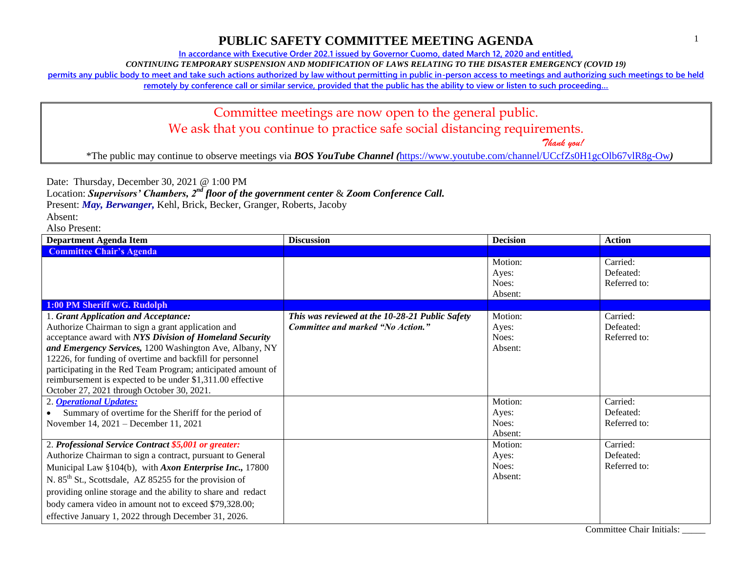**In accordance with Executive Order 202.1 issued by Governor Cuomo, dated March 12, 2020 and entitled,**

*CONTINUING TEMPORARY SUSPENSION AND MODIFICATION OF LAWS RELATING TO THE DISASTER EMERGENCY (COVID 19)*

**permits any public body to meet and take such actions authorized by law without permitting in public in-person access to meetings and authorizing such meetings to be held** 

remotely by conference call or similar service, provided that the public has the ability to view or listen to such proceeding...

#### Committee meetings are now open to the general public. We ask that you continue to practice safe social distancing requirements.

 *Thank you!*

\*The public may continue to observe meetings via *BOS YouTube Channel (*<https://www.youtube.com/channel/UCcfZs0H1gcOlb67vlR8g-Ow>*)*

Date: Thursday, December 30, 2021 @ 1:00 PM

Location: *Supervisors' Chambers, 2nd floor of the government center* & *Zoom Conference Call.*

Present: *May, Berwanger,* Kehl, Brick, Becker, Granger, Roberts, Jacoby

Absent:

| <b>Department Agenda Item</b>                                                                                                                                                                                                                                                                                                                                                                                                                             | <b>Discussion</b>                                                                    | <b>Decision</b>                      | <b>Action</b>                         |
|-----------------------------------------------------------------------------------------------------------------------------------------------------------------------------------------------------------------------------------------------------------------------------------------------------------------------------------------------------------------------------------------------------------------------------------------------------------|--------------------------------------------------------------------------------------|--------------------------------------|---------------------------------------|
| <b>Committee Chair's Agenda</b>                                                                                                                                                                                                                                                                                                                                                                                                                           |                                                                                      |                                      |                                       |
|                                                                                                                                                                                                                                                                                                                                                                                                                                                           |                                                                                      | Motion:<br>Ayes:<br>Noes:<br>Absent: | Carried:<br>Defeated:<br>Referred to: |
| 1:00 PM Sheriff w/G. Rudolph                                                                                                                                                                                                                                                                                                                                                                                                                              |                                                                                      |                                      |                                       |
| 1. Grant Application and Acceptance:<br>Authorize Chairman to sign a grant application and<br>acceptance award with NYS Division of Homeland Security<br>and Emergency Services, 1200 Washington Ave, Albany, NY<br>12226, for funding of overtime and backfill for personnel<br>participating in the Red Team Program; anticipated amount of<br>reimbursement is expected to be under \$1,311.00 effective<br>October 27, 2021 through October 30, 2021. | This was reviewed at the 10-28-21 Public Safety<br>Committee and marked "No Action." | Motion:<br>Ayes:<br>Noes:<br>Absent: | Carried:<br>Defeated:<br>Referred to: |
| 2. <b>Operational Updates:</b><br>Summary of overtime for the Sheriff for the period of<br>November 14, 2021 – December 11, 2021                                                                                                                                                                                                                                                                                                                          |                                                                                      | Motion:<br>Ayes:<br>Noes:<br>Absent: | Carried:<br>Defeated:<br>Referred to: |
| 2. Professional Service Contract \$5,001 or greater:<br>Authorize Chairman to sign a contract, pursuant to General<br>Municipal Law §104(b), with Axon Enterprise Inc., 17800<br>N. 85 <sup>th</sup> St., Scottsdale, AZ 85255 for the provision of<br>providing online storage and the ability to share and redact<br>body camera video in amount not to exceed \$79,328.00;<br>effective January 1, 2022 through December 31, 2026.                     |                                                                                      | Motion:<br>Ayes:<br>Noes:<br>Absent: | Carried:<br>Defeated:<br>Referred to: |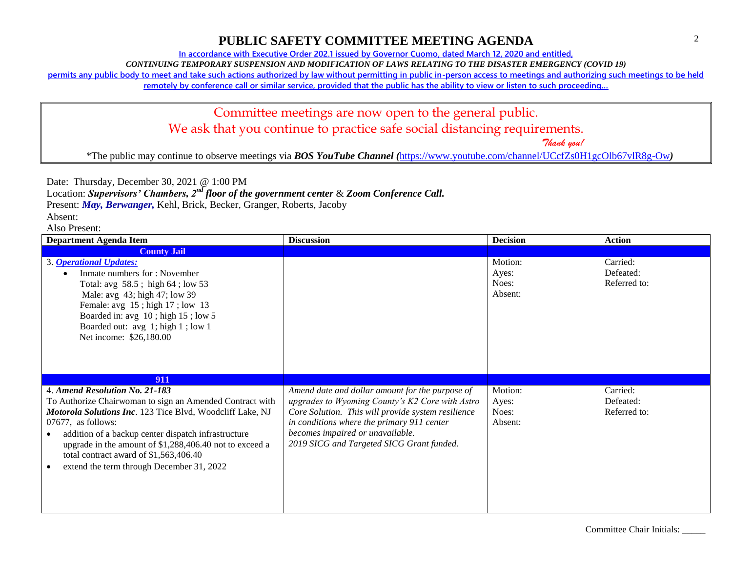**In accordance with Executive Order 202.1 issued by Governor Cuomo, dated March 12, 2020 and entitled,**

*CONTINUING TEMPORARY SUSPENSION AND MODIFICATION OF LAWS RELATING TO THE DISASTER EMERGENCY (COVID 19)*

**permits any public body to meet and take such actions authorized by law without permitting in public in-person access to meetings and authorizing such meetings to be held** 

**remotely by conference call or similar service, provided that the public has the ability to view or listen to such proceeding…**

# Committee meetings are now open to the general public. We ask that you continue to practice safe social distancing requirements.

 *Thank you!*

\*The public may continue to observe meetings via *BOS YouTube Channel (*<https://www.youtube.com/channel/UCcfZs0H1gcOlb67vlR8g-Ow>*)*

Date: Thursday, December 30, 2021 @ 1:00 PM

Location: *Supervisors' Chambers, 2nd floor of the government center* & *Zoom Conference Call.*

Present: *May, Berwanger,* Kehl, Brick, Becker, Granger, Roberts, Jacoby

Absent:

| <b>Department Agenda Item</b>                                                                                                                                                                                                                                                                                                                                                             | <b>Discussion</b>                                                                                                                                                                                                                                                                       | <b>Decision</b>                      | <b>Action</b>                         |
|-------------------------------------------------------------------------------------------------------------------------------------------------------------------------------------------------------------------------------------------------------------------------------------------------------------------------------------------------------------------------------------------|-----------------------------------------------------------------------------------------------------------------------------------------------------------------------------------------------------------------------------------------------------------------------------------------|--------------------------------------|---------------------------------------|
| <b>County Jail</b>                                                                                                                                                                                                                                                                                                                                                                        |                                                                                                                                                                                                                                                                                         |                                      |                                       |
| 3. Operational Updates:<br>Inmate numbers for: November<br>Total: avg 58.5; high 64; low 53<br>Male: avg 43; high 47; low 39<br>Female: avg 15; high 17; low 13<br>Boarded in: avg 10; high 15; low 5<br>Boarded out: avg 1; high 1; low 1<br>Net income: \$26,180.00                                                                                                                     |                                                                                                                                                                                                                                                                                         | Motion:<br>Ayes:<br>Noes:<br>Absent: | Carried:<br>Defeated:<br>Referred to: |
| 911                                                                                                                                                                                                                                                                                                                                                                                       |                                                                                                                                                                                                                                                                                         |                                      |                                       |
| 4. Amend Resolution No. 21-183<br>To Authorize Chairwoman to sign an Amended Contract with<br>Motorola Solutions Inc. 123 Tice Blvd, Woodcliff Lake, NJ<br>$07677$ , as follows:<br>addition of a backup center dispatch infrastructure<br>upgrade in the amount of \$1,288,406.40 not to exceed a<br>total contract award of \$1,563,406.40<br>extend the term through December 31, 2022 | Amend date and dollar amount for the purpose of<br>upgrades to Wyoming County's K2 Core with Astro<br>Core Solution. This will provide system resilience<br>in conditions where the primary 911 center<br>becomes impaired or unavailable.<br>2019 SICG and Targeted SICG Grant funded. | Motion:<br>Ayes:<br>Noes:<br>Absent: | Carried:<br>Defeated:<br>Referred to: |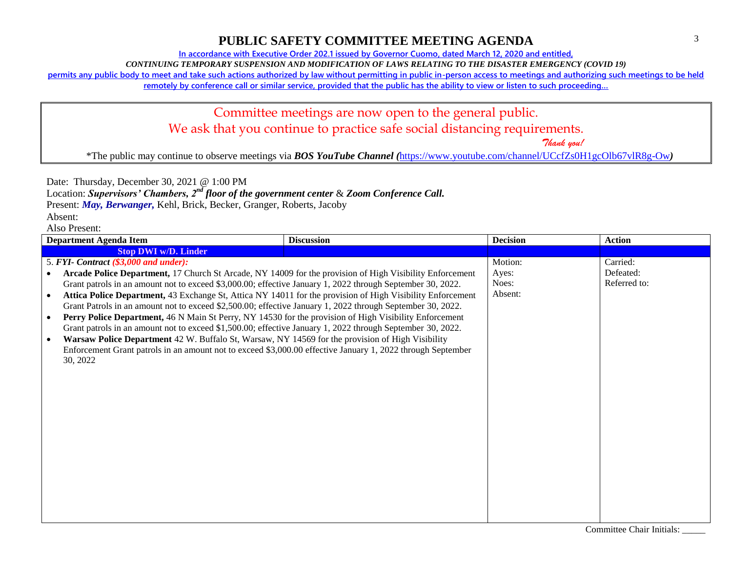**In accordance with Executive Order 202.1 issued by Governor Cuomo, dated March 12, 2020 and entitled,**

*CONTINUING TEMPORARY SUSPENSION AND MODIFICATION OF LAWS RELATING TO THE DISASTER EMERGENCY (COVID 19)*

**permits any public body to meet and take such actions authorized by law without permitting in public in-person access to meetings and authorizing such meetings to be held** 

**remotely by conference call or similar service, provided that the public has the ability to view or listen to such proceeding…**

# Committee meetings are now open to the general public. We ask that you continue to practice safe social distancing requirements.

 *Thank you!*

\*The public may continue to observe meetings via *BOS YouTube Channel (*<https://www.youtube.com/channel/UCcfZs0H1gcOlb67vlR8g-Ow>*)*

Date: Thursday, December 30, 2021 @ 1:00 PM

Location: *Supervisors' Chambers, 2nd floor of the government center* & *Zoom Conference Call.*

Present: *May, Berwanger,* Kehl, Brick, Becker, Granger, Roberts, Jacoby

Absent:

| <b>Department Agenda Item</b>                                                                                           | <b>Discussion</b> | <b>Decision</b> | <b>Action</b> |
|-------------------------------------------------------------------------------------------------------------------------|-------------------|-----------------|---------------|
| <b>Stop DWI w/D. Linder</b>                                                                                             |                   |                 |               |
| 5. FYI- Contract (\$3,000 and under):                                                                                   |                   | Motion:         | Carried:      |
| Arcade Police Department, 17 Church St Arcade, NY 14009 for the provision of High Visibility Enforcement                |                   | Ayes:           | Defeated:     |
| Grant patrols in an amount not to exceed \$3,000.00; effective January 1, 2022 through September 30, 2022.              |                   | Noes:           | Referred to:  |
| Attica Police Department, 43 Exchange St, Attica NY 14011 for the provision of High Visibility Enforcement<br>$\bullet$ |                   | Absent:         |               |
| Grant Patrols in an amount not to exceed \$2,500.00; effective January 1, 2022 through September 30, 2022.              |                   |                 |               |
| Perry Police Department, 46 N Main St Perry, NY 14530 for the provision of High Visibility Enforcement<br>$\bullet$     |                   |                 |               |
| Grant patrols in an amount not to exceed \$1,500.00; effective January 1, 2022 through September 30, 2022.              |                   |                 |               |
| Warsaw Police Department 42 W. Buffalo St, Warsaw, NY 14569 for the provision of High Visibility<br>$\bullet$           |                   |                 |               |
| Enforcement Grant patrols in an amount not to exceed \$3,000.00 effective January 1, 2022 through September             |                   |                 |               |
| 30, 2022                                                                                                                |                   |                 |               |
|                                                                                                                         |                   |                 |               |
|                                                                                                                         |                   |                 |               |
|                                                                                                                         |                   |                 |               |
|                                                                                                                         |                   |                 |               |
|                                                                                                                         |                   |                 |               |
|                                                                                                                         |                   |                 |               |
|                                                                                                                         |                   |                 |               |
|                                                                                                                         |                   |                 |               |
|                                                                                                                         |                   |                 |               |
|                                                                                                                         |                   |                 |               |
|                                                                                                                         |                   |                 |               |
|                                                                                                                         |                   |                 |               |
|                                                                                                                         |                   |                 |               |
|                                                                                                                         |                   |                 |               |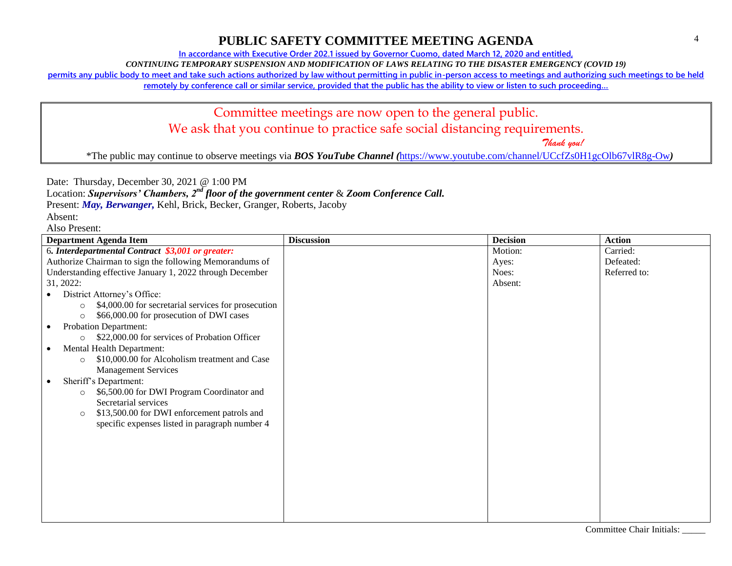**In accordance with Executive Order 202.1 issued by Governor Cuomo, dated March 12, 2020 and entitled,**

*CONTINUING TEMPORARY SUSPENSION AND MODIFICATION OF LAWS RELATING TO THE DISASTER EMERGENCY (COVID 19)*

**permits any public body to meet and take such actions authorized by law without permitting in public in-person access to meetings and authorizing such meetings to be held** 

remotely by conference call or similar service, provided that the public has the ability to view or listen to such proceeding...

# Committee meetings are now open to the general public. We ask that you continue to practice safe social distancing requirements.

 *Thank you!*

\*The public may continue to observe meetings via *BOS YouTube Channel (*<https://www.youtube.com/channel/UCcfZs0H1gcOlb67vlR8g-Ow>*)*

Date: Thursday, December 30, 2021 @ 1:00 PM

Location: *Supervisors' Chambers, 2nd floor of the government center* & *Zoom Conference Call.*

Present: *May, Berwanger,* Kehl, Brick, Becker, Granger, Roberts, Jacoby

Absent:

| <b>Department Agenda Item</b>                                                                                         | <b>Discussion</b> | <b>Decision</b> | <b>Action</b> |
|-----------------------------------------------------------------------------------------------------------------------|-------------------|-----------------|---------------|
| 6. Interdepartmental Contract \$3,001 or greater:                                                                     |                   | Motion:         | Carried:      |
| Authorize Chairman to sign the following Memorandums of                                                               |                   | Ayes:           | Defeated:     |
| Understanding effective January 1, 2022 through December                                                              |                   | Noes:           | Referred to:  |
| 31, 2022:                                                                                                             |                   | Absent:         |               |
| District Attorney's Office:                                                                                           |                   |                 |               |
| \$4,000.00 for secretarial services for prosecution<br>$\circ$<br>\$66,000.00 for prosecution of DWI cases<br>$\circ$ |                   |                 |               |
| <b>Probation Department:</b>                                                                                          |                   |                 |               |
| \$22,000.00 for services of Probation Officer<br>$\circ$                                                              |                   |                 |               |
| Mental Health Department:<br>$\bullet$                                                                                |                   |                 |               |
| \$10,000.00 for Alcoholism treatment and Case<br>$\circ$                                                              |                   |                 |               |
| <b>Management Services</b>                                                                                            |                   |                 |               |
| Sheriff's Department:<br>$\bullet$                                                                                    |                   |                 |               |
| \$6,500.00 for DWI Program Coordinator and<br>$\circ$                                                                 |                   |                 |               |
| Secretarial services                                                                                                  |                   |                 |               |
| \$13,500.00 for DWI enforcement patrols and<br>$\circ$                                                                |                   |                 |               |
| specific expenses listed in paragraph number 4                                                                        |                   |                 |               |
|                                                                                                                       |                   |                 |               |
|                                                                                                                       |                   |                 |               |
|                                                                                                                       |                   |                 |               |
|                                                                                                                       |                   |                 |               |
|                                                                                                                       |                   |                 |               |
|                                                                                                                       |                   |                 |               |
|                                                                                                                       |                   |                 |               |
|                                                                                                                       |                   |                 |               |
|                                                                                                                       |                   |                 |               |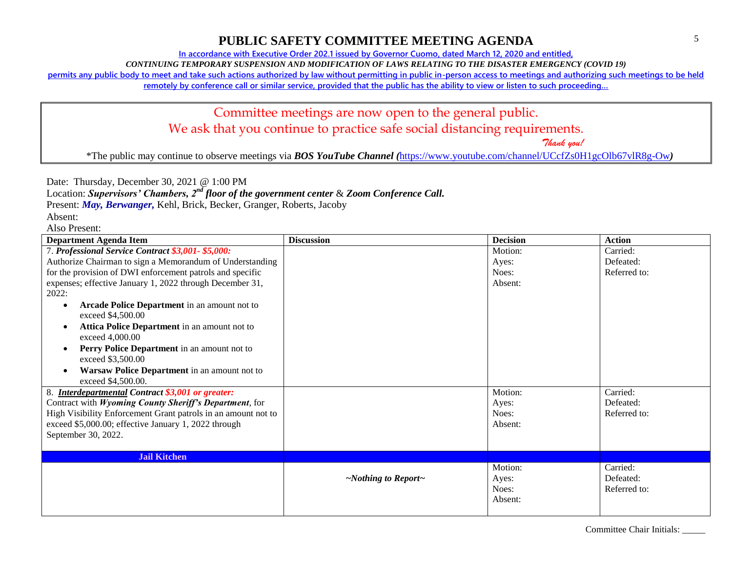**In accordance with Executive Order 202.1 issued by Governor Cuomo, dated March 12, 2020 and entitled,**

*CONTINUING TEMPORARY SUSPENSION AND MODIFICATION OF LAWS RELATING TO THE DISASTER EMERGENCY (COVID 19)*

**permits any public body to meet and take such actions authorized by law without permitting in public in-person access to meetings and authorizing such meetings to be held** 

**remotely by conference call or similar service, provided that the public has the ability to view or listen to such proceeding…**

# Committee meetings are now open to the general public. We ask that you continue to practice safe social distancing requirements.

 *Thank you!*

\*The public may continue to observe meetings via *BOS YouTube Channel (*<https://www.youtube.com/channel/UCcfZs0H1gcOlb67vlR8g-Ow>*)*

Date: Thursday, December 30, 2021 @ 1:00 PM

Location: *Supervisors' Chambers, 2nd floor of the government center* & *Zoom Conference Call.*

Present: *May, Berwanger,* Kehl, Brick, Becker, Granger, Roberts, Jacoby

Absent:

Also Present:

| <b>Department Agenda Item</b>                                                         | <b>Discussion</b>               | <b>Decision</b> | <b>Action</b> |
|---------------------------------------------------------------------------------------|---------------------------------|-----------------|---------------|
| 7. Professional Service Contract \$3,001-\$5,000:                                     |                                 | Motion:         | Carried:      |
| Authorize Chairman to sign a Memorandum of Understanding                              |                                 | Ayes:           | Defeated:     |
| for the provision of DWI enforcement patrols and specific                             |                                 | Noes:           | Referred to:  |
| expenses; effective January 1, 2022 through December 31,<br>2022:                     |                                 | Absent:         |               |
| <b>Arcade Police Department</b> in an amount not to<br>$\bullet$<br>exceed \$4,500.00 |                                 |                 |               |
| Attica Police Department in an amount not to<br>$\bullet$<br>exceed 4,000.00          |                                 |                 |               |
| Perry Police Department in an amount not to<br>$\bullet$<br>exceed \$3,500.00         |                                 |                 |               |
| Warsaw Police Department in an amount not to<br>$\bullet$                             |                                 |                 |               |
| exceed \$4,500.00.                                                                    |                                 |                 |               |
| <b>Interdepartmental Contract \$3,001 or greater:</b>                                 |                                 | Motion:         | Carried:      |
| Contract with Wyoming County Sheriff's Department, for                                |                                 | Ayes:           | Defeated:     |
| High Visibility Enforcement Grant patrols in an amount not to                         |                                 | Noes:           | Referred to:  |
| exceed \$5,000.00; effective January 1, 2022 through                                  |                                 | Absent:         |               |
| September 30, 2022.                                                                   |                                 |                 |               |
| <b>Jail Kitchen</b>                                                                   |                                 |                 |               |
|                                                                                       |                                 | Motion:         | Carried:      |
|                                                                                       | $\sim$ Nothing to Report $\sim$ | Ayes:           | Defeated:     |
|                                                                                       |                                 | Noes:           | Referred to:  |
|                                                                                       |                                 | Absent:         |               |
|                                                                                       |                                 |                 |               |

Committee Chair Initials: \_\_\_\_\_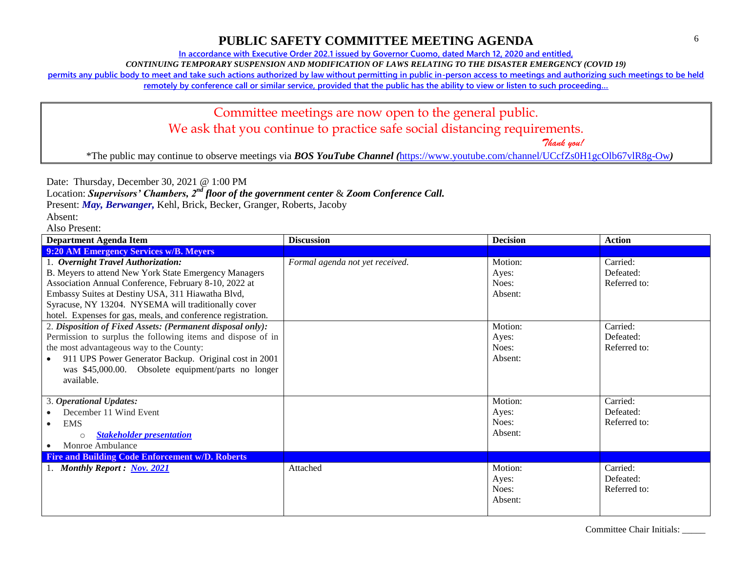**In accordance with Executive Order 202.1 issued by Governor Cuomo, dated March 12, 2020 and entitled,**

*CONTINUING TEMPORARY SUSPENSION AND MODIFICATION OF LAWS RELATING TO THE DISASTER EMERGENCY (COVID 19)*

**permits any public body to meet and take such actions authorized by law without permitting in public in-person access to meetings and authorizing such meetings to be held** 

**remotely by conference call or similar service, provided that the public has the ability to view or listen to such proceeding…**

#### Committee meetings are now open to the general public. We ask that you continue to practice safe social distancing requirements.

 *Thank you!*

\*The public may continue to observe meetings via *BOS YouTube Channel (*<https://www.youtube.com/channel/UCcfZs0H1gcOlb67vlR8g-Ow>*)*

Date: Thursday, December 30, 2021 @ 1:00 PM

Location: *Supervisors' Chambers, 2nd floor of the government center* & *Zoom Conference Call.*

Present: *May, Berwanger,* Kehl, Brick, Becker, Granger, Roberts, Jacoby

Absent:

Also Present:

| <b>Department Agenda Item</b>                                | <b>Discussion</b>               | <b>Decision</b> | <b>Action</b> |
|--------------------------------------------------------------|---------------------------------|-----------------|---------------|
| 9:20 AM Emergency Services w/B. Meyers                       |                                 |                 |               |
| 1. Overnight Travel Authorization:                           | Formal agenda not yet received. | Motion:         | Carried:      |
| B. Meyers to attend New York State Emergency Managers        |                                 | Ayes:           | Defeated:     |
| Association Annual Conference, February 8-10, 2022 at        |                                 | Noes:           | Referred to:  |
| Embassy Suites at Destiny USA, 311 Hiawatha Blvd,            |                                 | Absent:         |               |
| Syracuse, NY 13204. NYSEMA will traditionally cover          |                                 |                 |               |
| hotel. Expenses for gas, meals, and conference registration. |                                 |                 |               |
| 2. Disposition of Fixed Assets: (Permanent disposal only):   |                                 | Motion:         | Carried:      |
| Permission to surplus the following items and dispose of in  |                                 | Ayes:           | Defeated:     |
| the most advantageous way to the County:                     |                                 | Noes:           | Referred to:  |
| 911 UPS Power Generator Backup. Original cost in 2001        |                                 | Absent:         |               |
| was \$45,000.00. Obsolete equipment/parts no longer          |                                 |                 |               |
| available.                                                   |                                 |                 |               |
|                                                              |                                 |                 |               |
| 3. Operational Updates:                                      |                                 | Motion:         | Carried:      |
| December 11 Wind Event                                       |                                 | Ayes:           | Defeated:     |
| <b>EMS</b>                                                   |                                 | Noes:           | Referred to:  |
| <b>Stakeholder presentation</b><br>$\circ$                   |                                 | Absent:         |               |
| Monroe Ambulance                                             |                                 |                 |               |
| <b>Fire and Building Code Enforcement w/D. Roberts</b>       |                                 |                 |               |
| 1. Monthly Report: Nov. 2021                                 | Attached                        | Motion:         | Carried:      |
|                                                              |                                 | Ayes:           | Defeated:     |
|                                                              |                                 | Noes:           | Referred to:  |
|                                                              |                                 | Absent:         |               |
|                                                              |                                 |                 |               |

Committee Chair Initials: \_\_\_\_\_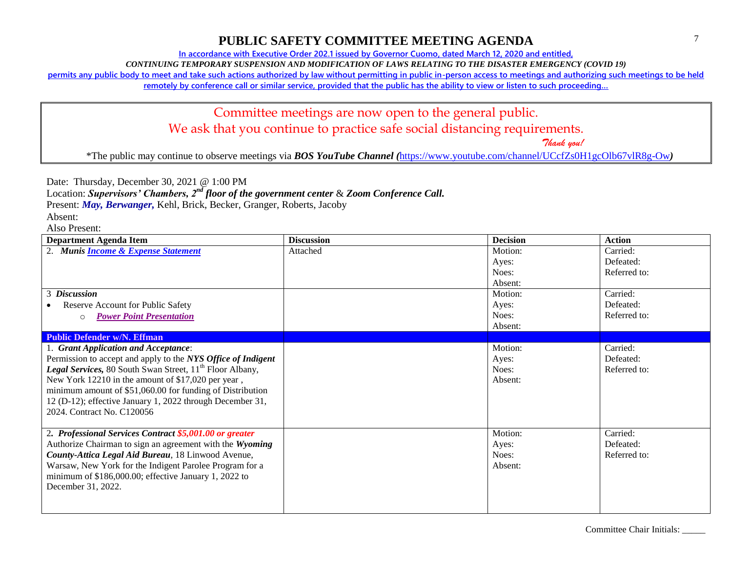**In accordance with Executive Order 202.1 issued by Governor Cuomo, dated March 12, 2020 and entitled,**

*CONTINUING TEMPORARY SUSPENSION AND MODIFICATION OF LAWS RELATING TO THE DISASTER EMERGENCY (COVID 19)*

**permits any public body to meet and take such actions authorized by law without permitting in public in-person access to meetings and authorizing such meetings to be held** 

**remotely by conference call or similar service, provided that the public has the ability to view or listen to such proceeding…**

#### Committee meetings are now open to the general public. We ask that you continue to practice safe social distancing requirements.

 *Thank you!*

\*The public may continue to observe meetings via *BOS YouTube Channel (*<https://www.youtube.com/channel/UCcfZs0H1gcOlb67vlR8g-Ow>*)*

Date: Thursday, December 30, 2021 @ 1:00 PM

Location: *Supervisors' Chambers, 2nd floor of the government center* & *Zoom Conference Call.*

Present: *May, Berwanger,* Kehl, Brick, Becker, Granger, Roberts, Jacoby

Absent:

| <b>Department Agenda Item</b>                                              | <b>Discussion</b> | <b>Decision</b> | <b>Action</b> |
|----------------------------------------------------------------------------|-------------------|-----------------|---------------|
| 2. Munis <i>Income &amp; Expense Statement</i>                             | Attached          | Motion:         | Carried:      |
|                                                                            |                   | Ayes:           | Defeated:     |
|                                                                            |                   | Noes:           | Referred to:  |
|                                                                            |                   | Absent:         |               |
| 3 Discussion                                                               |                   | Motion:         | Carried:      |
| Reserve Account for Public Safety                                          |                   | Ayes:           | Defeated:     |
| <b>Power Point Presentation</b><br>$\Omega$                                |                   | Noes:           | Referred to:  |
|                                                                            |                   | Absent:         |               |
| <b>Public Defender w/N. Effman</b>                                         |                   |                 |               |
| 1. Grant Application and Acceptance:                                       |                   | Motion:         | Carried:      |
| Permission to accept and apply to the NYS Office of Indigent               |                   | Ayes:           | Defeated:     |
| <b>Legal Services, 80 South Swan Street, 11<sup>th</sup> Floor Albany,</b> |                   | Noes:           | Referred to:  |
| New York 12210 in the amount of \$17,020 per year,                         |                   | Absent:         |               |
| minimum amount of \$51,060.00 for funding of Distribution                  |                   |                 |               |
| 12 (D-12); effective January 1, 2022 through December 31,                  |                   |                 |               |
| 2024. Contract No. C120056                                                 |                   |                 |               |
|                                                                            |                   |                 |               |
| 2. Professional Services Contract \$5,001.00 or greater                    |                   | Motion:         | Carried:      |
| Authorize Chairman to sign an agreement with the Wyoming                   |                   | Ayes:           | Defeated:     |
| County-Attica Legal Aid Bureau, 18 Linwood Avenue,                         |                   | Noes:           | Referred to:  |
| Warsaw, New York for the Indigent Parolee Program for a                    |                   | Absent:         |               |
| minimum of \$186,000.00; effective January 1, 2022 to                      |                   |                 |               |
| December 31, 2022.                                                         |                   |                 |               |
|                                                                            |                   |                 |               |
|                                                                            |                   |                 |               |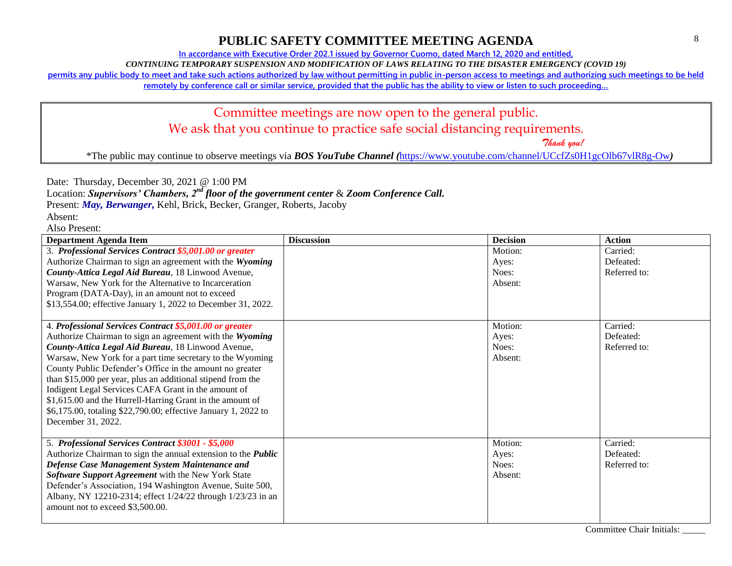**In accordance with Executive Order 202.1 issued by Governor Cuomo, dated March 12, 2020 and entitled,**

*CONTINUING TEMPORARY SUSPENSION AND MODIFICATION OF LAWS RELATING TO THE DISASTER EMERGENCY (COVID 19)*

**permits any public body to meet and take such actions authorized by law without permitting in public in-person access to meetings and authorizing such meetings to be held** 

**remotely by conference call or similar service, provided that the public has the ability to view or listen to such proceeding…**

# Committee meetings are now open to the general public. We ask that you continue to practice safe social distancing requirements.

 *Thank you!*

\*The public may continue to observe meetings via *BOS YouTube Channel (*<https://www.youtube.com/channel/UCcfZs0H1gcOlb67vlR8g-Ow>*)*

Date: Thursday, December 30, 2021 @ 1:00 PM

Location: *Supervisors' Chambers, 2nd floor of the government center* & *Zoom Conference Call.*

Present: *May, Berwanger,* Kehl, Brick, Becker, Granger, Roberts, Jacoby

Absent:

| Department Agenda Item                                                                                                                                                                                                                                                                                                                                                                                                                                                                                                                                                        | <b>Discussion</b> | <b>Decision</b>                      | <b>Action</b>                         |
|-------------------------------------------------------------------------------------------------------------------------------------------------------------------------------------------------------------------------------------------------------------------------------------------------------------------------------------------------------------------------------------------------------------------------------------------------------------------------------------------------------------------------------------------------------------------------------|-------------------|--------------------------------------|---------------------------------------|
| 3. Professional Services Contract \$5,001.00 or greater<br>Authorize Chairman to sign an agreement with the Wyoming<br>County-Attica Legal Aid Bureau, 18 Linwood Avenue,<br>Warsaw, New York for the Alternative to Incarceration<br>Program (DATA-Day), in an amount not to exceed<br>\$13,554.00; effective January 1, 2022 to December 31, 2022.                                                                                                                                                                                                                          |                   | Motion:<br>Ayes:<br>Noes:<br>Absent: | Carried:<br>Defeated:<br>Referred to: |
| 4. Professional Services Contract \$5,001.00 or greater<br>Authorize Chairman to sign an agreement with the Wyoming<br>County-Attica Legal Aid Bureau, 18 Linwood Avenue,<br>Warsaw, New York for a part time secretary to the Wyoming<br>County Public Defender's Office in the amount no greater<br>than \$15,000 per year, plus an additional stipend from the<br>Indigent Legal Services CAFA Grant in the amount of<br>\$1,615.00 and the Hurrell-Harring Grant in the amount of<br>\$6,175.00, totaling \$22,790.00; effective January 1, 2022 to<br>December 31, 2022. |                   | Motion:<br>Ayes:<br>Noes:<br>Absent: | Carried:<br>Defeated:<br>Referred to: |
| 5. Professional Services Contract \$3001 - \$5,000<br>Authorize Chairman to sign the annual extension to the <i>Public</i><br>Defense Case Management System Maintenance and<br>Software Support Agreement with the New York State<br>Defender's Association, 194 Washington Avenue, Suite 500,<br>Albany, NY 12210-2314; effect 1/24/22 through 1/23/23 in an<br>amount not to exceed \$3,500.00.                                                                                                                                                                            |                   | Motion:<br>Ayes:<br>Noes:<br>Absent: | Carried:<br>Defeated:<br>Referred to: |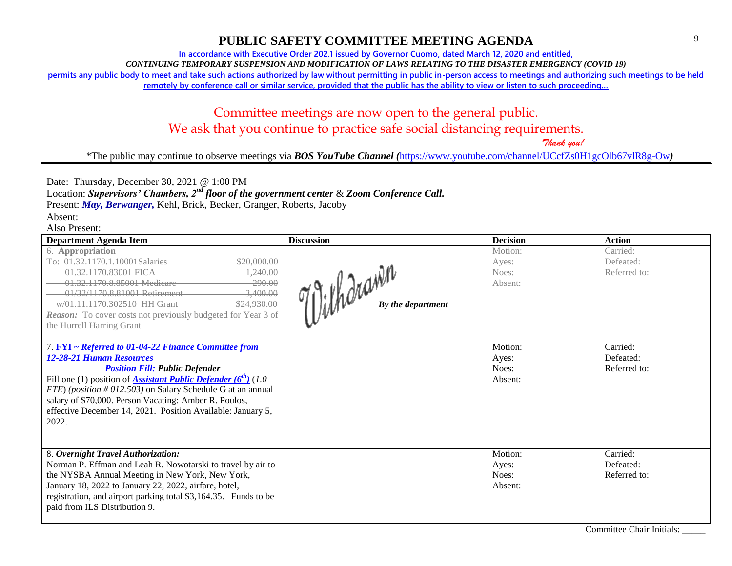**In accordance with Executive Order 202.1 issued by Governor Cuomo, dated March 12, 2020 and entitled,**

*CONTINUING TEMPORARY SUSPENSION AND MODIFICATION OF LAWS RELATING TO THE DISASTER EMERGENCY (COVID 19)*

**permits any public body to meet and take such actions authorized by law without permitting in public in-person access to meetings and authorizing such meetings to be held** 

**remotely by conference call or similar service, provided that the public has the ability to view or listen to such proceeding…**

# Committee meetings are now open to the general public. We ask that you continue to practice safe social distancing requirements.

 *Thank you!*

\*The public may continue to observe meetings via *BOS YouTube Channel (*<https://www.youtube.com/channel/UCcfZs0H1gcOlb67vlR8g-Ow>*)*

Date: Thursday, December 30, 2021 @ 1:00 PM

Location: *Supervisors' Chambers, 2nd floor of the government center* & *Zoom Conference Call.*

Present: *May, Berwanger,* Kehl, Brick, Becker, Granger, Roberts, Jacoby

Absent:

| Department Agenda Item                                                                                                                                                                                                                                                                                                                                                                                              | <b>Discussion</b>                        | <b>Decision</b>                      | <b>Action</b>                         |
|---------------------------------------------------------------------------------------------------------------------------------------------------------------------------------------------------------------------------------------------------------------------------------------------------------------------------------------------------------------------------------------------------------------------|------------------------------------------|--------------------------------------|---------------------------------------|
| 6. Appropriation<br>To: 01.32.1170.1.10001Salaries<br>\$20,000.00<br>1,240.00<br>01 32 1170 83001 FICA<br>290.00<br>01.32.1170.8.85001 Medicare<br>01/32/1170.8.81001 Retirement<br>3,400.00<br><del>w/01.11.1170.302510 HH Grant</del><br>\$24,930.00<br><b>Reason:</b> To cover costs not previously budgeted for Year 3 of<br>the Hurrell Harring Grant                                                          | $\lim_{n\to\infty}$<br>By the department | Motion:<br>Ayes:<br>Noes:<br>Absent: | Carried:<br>Defeated:<br>Referred to: |
| 7. FYI ~ Referred to 01-04-22 Finance Committee from<br><b>12-28-21 Human Resources</b><br><b>Position Fill: Public Defender</b><br>Fill one (1) position of <b>Assistant Public Defender (6<sup>th</sup>)</b> (1.0)<br>FTE) (position #012.503) on Salary Schedule G at an annual<br>salary of \$70,000. Person Vacating: Amber R. Poulos,<br>effective December 14, 2021. Position Available: January 5,<br>2022. |                                          | Motion:<br>Ayes:<br>Noes:<br>Absent: | Carried:<br>Defeated:<br>Referred to: |
| 8. Overnight Travel Authorization:<br>Norman P. Effman and Leah R. Nowotarski to travel by air to<br>the NYSBA Annual Meeting in New York, New York,<br>January 18, 2022 to January 22, 2022, airfare, hotel,<br>registration, and airport parking total \$3,164.35. Funds to be<br>paid from ILS Distribution 9.                                                                                                   |                                          | Motion:<br>Ayes:<br>Noes:<br>Absent: | Carried:<br>Defeated:<br>Referred to: |